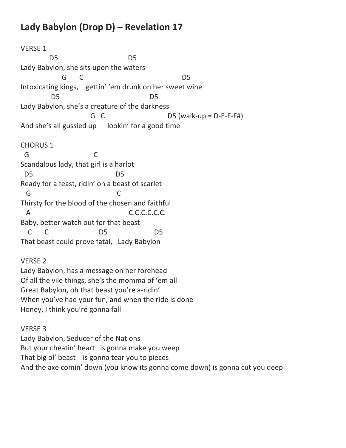## **Lady Babylon (Drop D) – Revelation 17**

Honey, I think you're gonna fall

VERSE 1 D5 D5 Lady Babylon, she sits upon the waters G C D5 Intoxicating kings, gettin' 'em drunk on her sweet wine D5 D5 Lady Babylon, she's a creature of the darkness G  $C$  D5 (walk-up = D-E-F-F#) And she's all gussied up lookin' for a good time CHORUS 1 G C Scandalous lady, that girl is a harlot D5 D5 Ready for a feast, ridin' on a beast of scarlet G C Thirsty for the blood of the chosen and faithful A C.C.C.C.C.C.C. Baby, better watch out for that beast C C D5 D5 That beast could prove fatal, Lady Babylon VERSE 2 Lady Babylon, has a message on her forehead Of all the vile things, she's the momma of 'em all Great Babylon, oh that beast you're a-ridin' When you've had your fun, and when the ride is done

VERSE 3 Lady Babylon, Seducer of the Nations But your cheatin' heart is gonna make you weep That big ol' beast is gonna tear you to pieces And the axe comin' down (you know its gonna come down) is gonna cut you deep